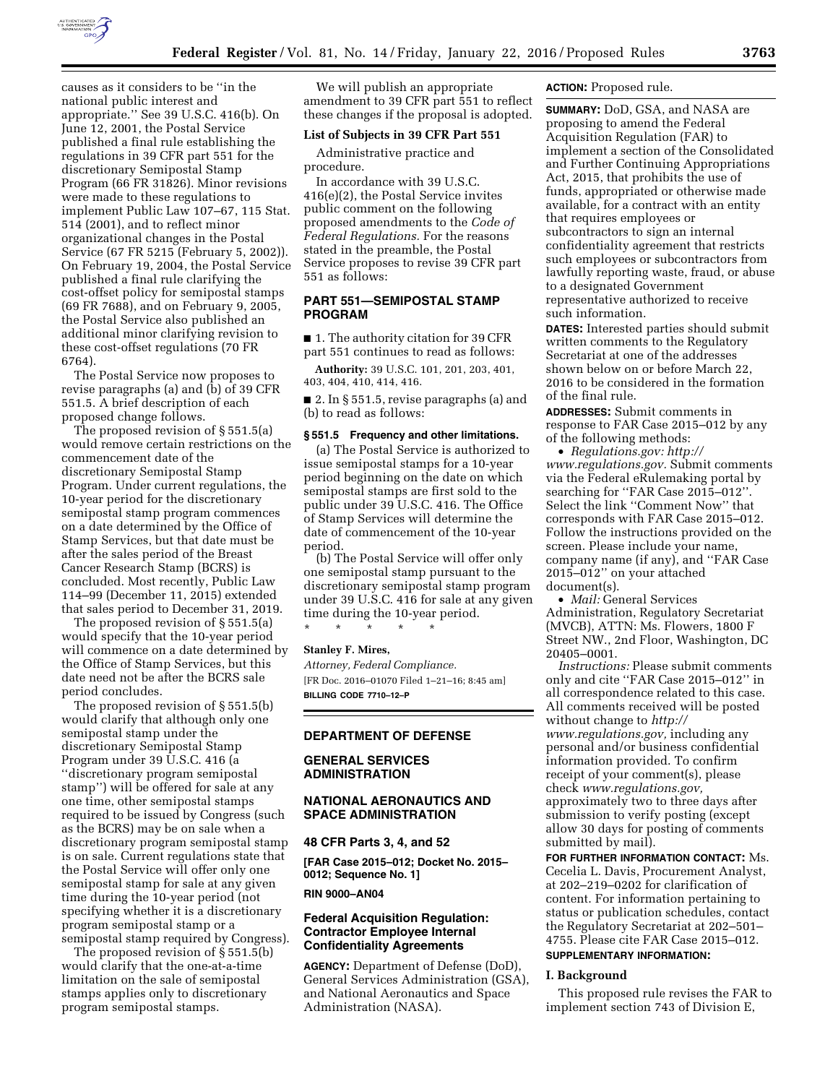

causes as it considers to be ''in the national public interest and appropriate.'' See 39 U.S.C. 416(b). On June 12, 2001, the Postal Service published a final rule establishing the regulations in 39 CFR part 551 for the discretionary Semipostal Stamp Program (66 FR 31826). Minor revisions were made to these regulations to implement Public Law 107–67, 115 Stat. 514 (2001), and to reflect minor organizational changes in the Postal Service (67 FR 5215 (February 5, 2002)). On February 19, 2004, the Postal Service published a final rule clarifying the cost-offset policy for semipostal stamps (69 FR 7688), and on February 9, 2005, the Postal Service also published an additional minor clarifying revision to these cost-offset regulations (70 FR 6764).

The Postal Service now proposes to revise paragraphs (a) and (b) of 39 CFR 551.5. A brief description of each proposed change follows.

The proposed revision of § 551.5(a) would remove certain restrictions on the commencement date of the discretionary Semipostal Stamp Program. Under current regulations, the 10-year period for the discretionary semipostal stamp program commences on a date determined by the Office of Stamp Services, but that date must be after the sales period of the Breast Cancer Research Stamp (BCRS) is concluded. Most recently, Public Law 114–99 (December 11, 2015) extended that sales period to December 31, 2019.

The proposed revision of § 551.5(a) would specify that the 10-year period will commence on a date determined by the Office of Stamp Services, but this date need not be after the BCRS sale period concludes.

The proposed revision of § 551.5(b) would clarify that although only one semipostal stamp under the discretionary Semipostal Stamp Program under 39 U.S.C. 416 (a ''discretionary program semipostal stamp'') will be offered for sale at any one time, other semipostal stamps required to be issued by Congress (such as the BCRS) may be on sale when a discretionary program semipostal stamp is on sale. Current regulations state that the Postal Service will offer only one semipostal stamp for sale at any given time during the 10-year period (not specifying whether it is a discretionary program semipostal stamp or a semipostal stamp required by Congress).

The proposed revision of § 551.5(b) would clarify that the one-at-a-time limitation on the sale of semipostal stamps applies only to discretionary program semipostal stamps.

We will publish an appropriate amendment to 39 CFR part 551 to reflect these changes if the proposal is adopted.

# **List of Subjects in 39 CFR Part 551**

Administrative practice and procedure.

In accordance with 39 U.S.C. 416(e)(2), the Postal Service invites public comment on the following proposed amendments to the *Code of Federal Regulations.* For the reasons stated in the preamble, the Postal Service proposes to revise 39 CFR part 551 as follows:

# **PART 551—SEMIPOSTAL STAMP PROGRAM**

■ 1. The authority citation for 39 CFR part 551 continues to read as follows:

**Authority:** 39 U.S.C. 101, 201, 203, 401, 403, 404, 410, 414, 416.

■ 2. In § 551.5, revise paragraphs (a) and (b) to read as follows:

#### **§ 551.5 Frequency and other limitations.**

(a) The Postal Service is authorized to issue semipostal stamps for a 10-year period beginning on the date on which semipostal stamps are first sold to the public under 39 U.S.C. 416. The Office of Stamp Services will determine the date of commencement of the 10-year period.

(b) The Postal Service will offer only one semipostal stamp pursuant to the discretionary semipostal stamp program under 39 U.S.C. 416 for sale at any given time during the 10-year period.

\* \* \* \* \*

## **Stanley F. Mires,**

*Attorney, Federal Compliance.*  [FR Doc. 2016–01070 Filed 1–21–16; 8:45 am] **BILLING CODE 7710–12–P** 

#### **DEPARTMENT OF DEFENSE**

### **GENERAL SERVICES ADMINISTRATION**

### **NATIONAL AERONAUTICS AND SPACE ADMINISTRATION**

#### **48 CFR Parts 3, 4, and 52**

**[FAR Case 2015–012; Docket No. 2015– 0012; Sequence No. 1]** 

### **RIN 9000–AN04**

### **Federal Acquisition Regulation: Contractor Employee Internal Confidentiality Agreements**

**AGENCY:** Department of Defense (DoD), General Services Administration (GSA), and National Aeronautics and Space Administration (NASA).

**ACTION:** Proposed rule.

**SUMMARY:** DoD, GSA, and NASA are proposing to amend the Federal Acquisition Regulation (FAR) to implement a section of the Consolidated and Further Continuing Appropriations Act, 2015, that prohibits the use of funds, appropriated or otherwise made available, for a contract with an entity that requires employees or subcontractors to sign an internal confidentiality agreement that restricts such employees or subcontractors from lawfully reporting waste, fraud, or abuse to a designated Government representative authorized to receive such information.

**DATES:** Interested parties should submit written comments to the Regulatory Secretariat at one of the addresses shown below on or before March 22, 2016 to be considered in the formation of the final rule.

**ADDRESSES:** Submit comments in response to FAR Case 2015–012 by any of the following methods:

• *Regulations.gov: [http://](http://www.regulations.gov) [www.regulations.gov.](http://www.regulations.gov)* Submit comments via the Federal eRulemaking portal by searching for "FAR Case 2015-012". Select the link ''Comment Now'' that corresponds with FAR Case 2015–012. Follow the instructions provided on the screen. Please include your name, company name (if any), and ''FAR Case 2015–012'' on your attached document(s).

• *Mail:* General Services Administration, Regulatory Secretariat (MVCB), ATTN: Ms. Flowers, 1800 F Street NW., 2nd Floor, Washington, DC 20405–0001.

*Instructions:* Please submit comments only and cite ''FAR Case 2015–012'' in all correspondence related to this case. All comments received will be posted without change to *[http://](http://www.regulations.gov) [www.regulations.gov,](http://www.regulations.gov)* including any personal and/or business confidential information provided. To confirm receipt of your comment(s), please check *[www.regulations.gov,](http://www.regulations.gov)*  approximately two to three days after submission to verify posting (except allow 30 days for posting of comments submitted by mail).

**FOR FURTHER INFORMATION CONTACT:** Ms. Cecelia L. Davis, Procurement Analyst, at 202–219–0202 for clarification of content. For information pertaining to status or publication schedules, contact the Regulatory Secretariat at 202–501– 4755. Please cite FAR Case 2015–012.

# **SUPPLEMENTARY INFORMATION:**

#### **I. Background**

This proposed rule revises the FAR to implement section 743 of Division E,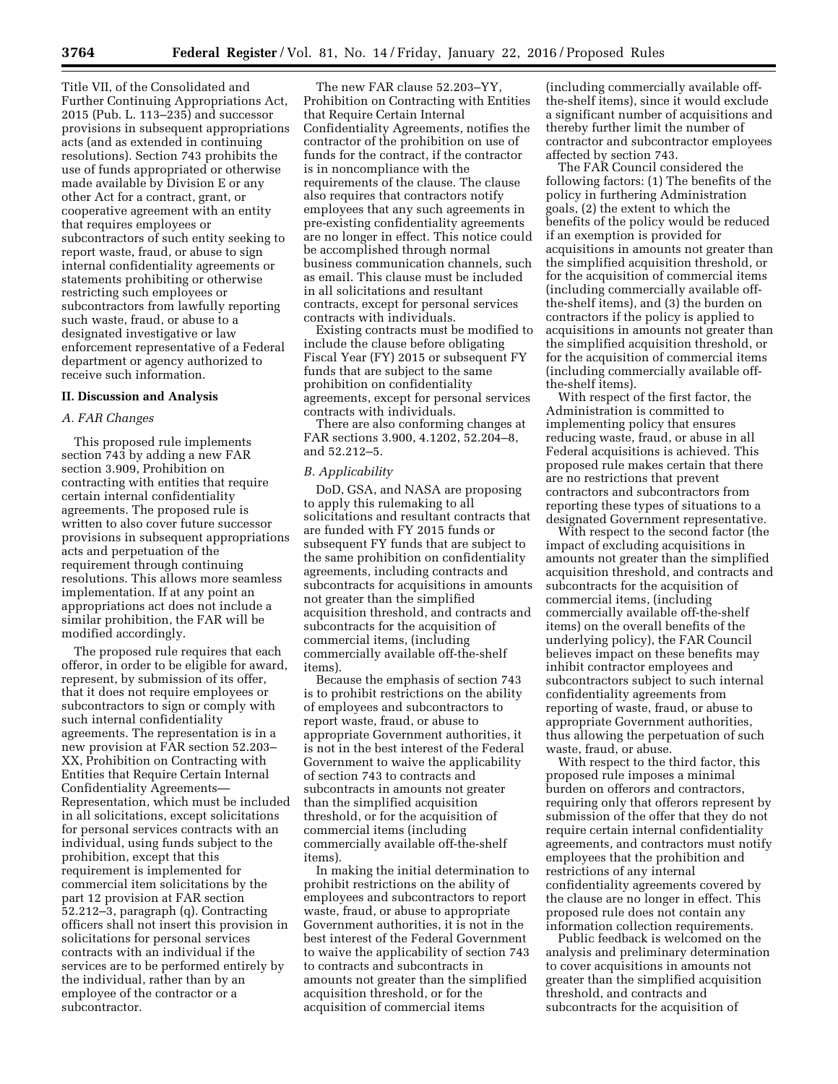Title VII, of the Consolidated and Further Continuing Appropriations Act, 2015 (Pub. L. 113–235) and successor provisions in subsequent appropriations acts (and as extended in continuing resolutions). Section 743 prohibits the use of funds appropriated or otherwise made available by Division E or any other Act for a contract, grant, or cooperative agreement with an entity that requires employees or subcontractors of such entity seeking to report waste, fraud, or abuse to sign internal confidentiality agreements or statements prohibiting or otherwise restricting such employees or subcontractors from lawfully reporting such waste, fraud, or abuse to a designated investigative or law enforcement representative of a Federal department or agency authorized to receive such information.

### **II. Discussion and Analysis**

### *A. FAR Changes*

This proposed rule implements section 743 by adding a new FAR section 3.909, Prohibition on contracting with entities that require certain internal confidentiality agreements. The proposed rule is written to also cover future successor provisions in subsequent appropriations acts and perpetuation of the requirement through continuing resolutions. This allows more seamless implementation. If at any point an appropriations act does not include a similar prohibition, the FAR will be modified accordingly.

The proposed rule requires that each offeror, in order to be eligible for award, represent, by submission of its offer, that it does not require employees or subcontractors to sign or comply with such internal confidentiality agreements. The representation is in a new provision at FAR section 52.203– XX, Prohibition on Contracting with Entities that Require Certain Internal Confidentiality Agreements— Representation, which must be included in all solicitations, except solicitations for personal services contracts with an individual, using funds subject to the prohibition, except that this requirement is implemented for commercial item solicitations by the part 12 provision at FAR section 52.212–3, paragraph (q). Contracting officers shall not insert this provision in solicitations for personal services contracts with an individual if the services are to be performed entirely by the individual, rather than by an employee of the contractor or a subcontractor.

The new FAR clause 52.203–YY, Prohibition on Contracting with Entities that Require Certain Internal Confidentiality Agreements, notifies the contractor of the prohibition on use of funds for the contract, if the contractor is in noncompliance with the requirements of the clause. The clause also requires that contractors notify employees that any such agreements in pre-existing confidentiality agreements are no longer in effect. This notice could be accomplished through normal business communication channels, such as email. This clause must be included in all solicitations and resultant contracts, except for personal services contracts with individuals.

Existing contracts must be modified to include the clause before obligating Fiscal Year (FY) 2015 or subsequent FY funds that are subject to the same prohibition on confidentiality agreements, except for personal services contracts with individuals.

There are also conforming changes at FAR sections 3.900, 4.1202, 52.204–8, and 52.212–5.

#### *B. Applicability*

DoD, GSA, and NASA are proposing to apply this rulemaking to all solicitations and resultant contracts that are funded with FY 2015 funds or subsequent FY funds that are subject to the same prohibition on confidentiality agreements, including contracts and subcontracts for acquisitions in amounts not greater than the simplified acquisition threshold, and contracts and subcontracts for the acquisition of commercial items, (including commercially available off-the-shelf items).

Because the emphasis of section 743 is to prohibit restrictions on the ability of employees and subcontractors to report waste, fraud, or abuse to appropriate Government authorities, it is not in the best interest of the Federal Government to waive the applicability of section 743 to contracts and subcontracts in amounts not greater than the simplified acquisition threshold, or for the acquisition of commercial items (including commercially available off-the-shelf items).

In making the initial determination to prohibit restrictions on the ability of employees and subcontractors to report waste, fraud, or abuse to appropriate Government authorities, it is not in the best interest of the Federal Government to waive the applicability of section 743 to contracts and subcontracts in amounts not greater than the simplified acquisition threshold, or for the acquisition of commercial items

(including commercially available offthe-shelf items), since it would exclude a significant number of acquisitions and thereby further limit the number of contractor and subcontractor employees affected by section 743.

The FAR Council considered the following factors: (1) The benefits of the policy in furthering Administration goals, (2) the extent to which the benefits of the policy would be reduced if an exemption is provided for acquisitions in amounts not greater than the simplified acquisition threshold, or for the acquisition of commercial items (including commercially available offthe-shelf items), and (3) the burden on contractors if the policy is applied to acquisitions in amounts not greater than the simplified acquisition threshold, or for the acquisition of commercial items (including commercially available offthe-shelf items).

With respect of the first factor, the Administration is committed to implementing policy that ensures reducing waste, fraud, or abuse in all Federal acquisitions is achieved. This proposed rule makes certain that there are no restrictions that prevent contractors and subcontractors from reporting these types of situations to a designated Government representative.

With respect to the second factor (the impact of excluding acquisitions in amounts not greater than the simplified acquisition threshold, and contracts and subcontracts for the acquisition of commercial items, (including commercially available off-the-shelf items) on the overall benefits of the underlying policy), the FAR Council believes impact on these benefits may inhibit contractor employees and subcontractors subject to such internal confidentiality agreements from reporting of waste, fraud, or abuse to appropriate Government authorities, thus allowing the perpetuation of such waste, fraud, or abuse.

With respect to the third factor, this proposed rule imposes a minimal burden on offerors and contractors, requiring only that offerors represent by submission of the offer that they do not require certain internal confidentiality agreements, and contractors must notify employees that the prohibition and restrictions of any internal confidentiality agreements covered by the clause are no longer in effect. This proposed rule does not contain any information collection requirements.

Public feedback is welcomed on the analysis and preliminary determination to cover acquisitions in amounts not greater than the simplified acquisition threshold, and contracts and subcontracts for the acquisition of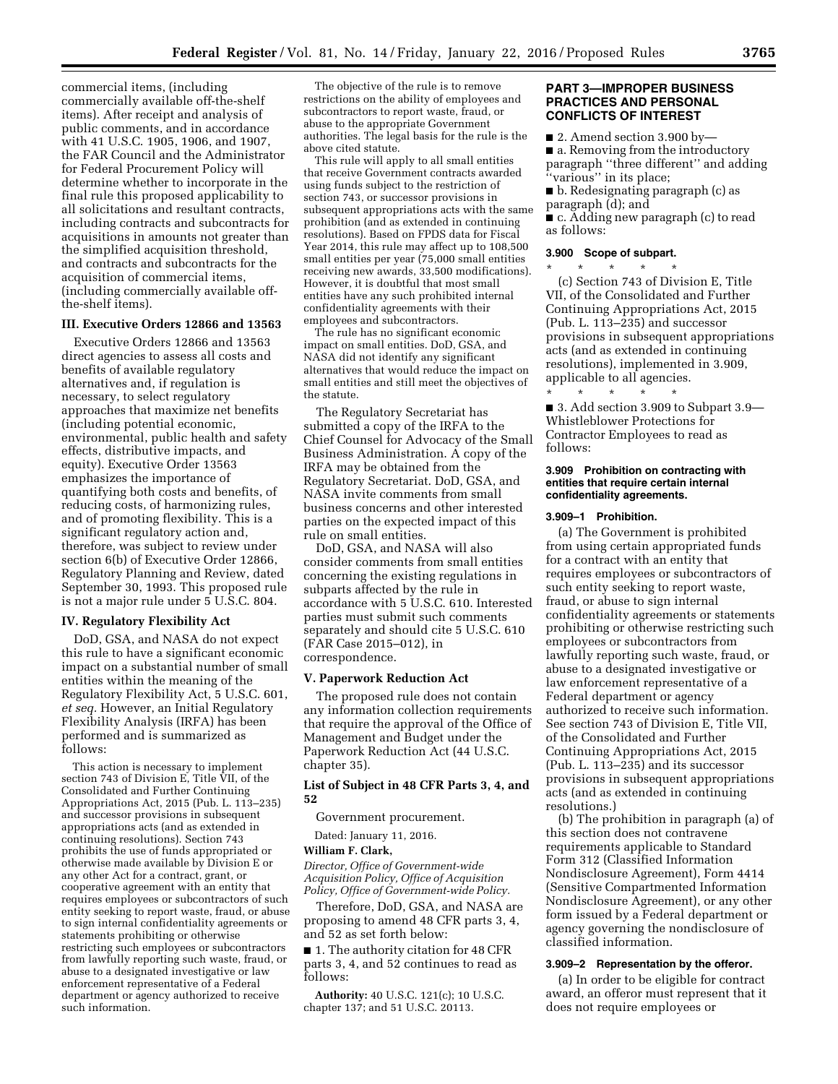commercial items, (including commercially available off-the-shelf items). After receipt and analysis of public comments, and in accordance with 41 U.S.C. 1905, 1906, and 1907, the FAR Council and the Administrator for Federal Procurement Policy will determine whether to incorporate in the final rule this proposed applicability to all solicitations and resultant contracts, including contracts and subcontracts for acquisitions in amounts not greater than the simplified acquisition threshold, and contracts and subcontracts for the acquisition of commercial items, (including commercially available offthe-shelf items).

### **III. Executive Orders 12866 and 13563**

Executive Orders 12866 and 13563 direct agencies to assess all costs and benefits of available regulatory alternatives and, if regulation is necessary, to select regulatory approaches that maximize net benefits (including potential economic, environmental, public health and safety effects, distributive impacts, and equity). Executive Order 13563 emphasizes the importance of quantifying both costs and benefits, of reducing costs, of harmonizing rules, and of promoting flexibility. This is a significant regulatory action and, therefore, was subject to review under section 6(b) of Executive Order 12866, Regulatory Planning and Review, dated September 30, 1993. This proposed rule is not a major rule under 5 U.S.C. 804.

#### **IV. Regulatory Flexibility Act**

DoD, GSA, and NASA do not expect this rule to have a significant economic impact on a substantial number of small entities within the meaning of the Regulatory Flexibility Act, 5 U.S.C. 601, *et seq.* However, an Initial Regulatory Flexibility Analysis (IRFA) has been performed and is summarized as follows:

This action is necessary to implement section 743 of Division E, Title VII, of the Consolidated and Further Continuing Appropriations Act, 2015 (Pub. L. 113–235) and successor provisions in subsequent appropriations acts (and as extended in continuing resolutions). Section 743 prohibits the use of funds appropriated or otherwise made available by Division E or any other Act for a contract, grant, or cooperative agreement with an entity that requires employees or subcontractors of such entity seeking to report waste, fraud, or abuse to sign internal confidentiality agreements or statements prohibiting or otherwise restricting such employees or subcontractors from lawfully reporting such waste, fraud, or abuse to a designated investigative or law enforcement representative of a Federal department or agency authorized to receive such information.

The objective of the rule is to remove restrictions on the ability of employees and subcontractors to report waste, fraud, or abuse to the appropriate Government authorities. The legal basis for the rule is the above cited statute.

This rule will apply to all small entities that receive Government contracts awarded using funds subject to the restriction of section 743, or successor provisions in subsequent appropriations acts with the same prohibition (and as extended in continuing resolutions). Based on FPDS data for Fiscal Year 2014, this rule may affect up to 108,500 small entities per year (75,000 small entities receiving new awards, 33,500 modifications). However, it is doubtful that most small entities have any such prohibited internal confidentiality agreements with their employees and subcontractors.

The rule has no significant economic impact on small entities. DoD, GSA, and NASA did not identify any significant alternatives that would reduce the impact on small entities and still meet the objectives of the statute.

The Regulatory Secretariat has submitted a copy of the IRFA to the Chief Counsel for Advocacy of the Small Business Administration. A copy of the IRFA may be obtained from the Regulatory Secretariat. DoD, GSA, and NASA invite comments from small business concerns and other interested parties on the expected impact of this rule on small entities.

DoD, GSA, and NASA will also consider comments from small entities concerning the existing regulations in subparts affected by the rule in accordance with 5 U.S.C. 610. Interested parties must submit such comments separately and should cite 5 U.S.C. 610 (FAR Case 2015–012), in correspondence.

### **V. Paperwork Reduction Act**

The proposed rule does not contain any information collection requirements that require the approval of the Office of Management and Budget under the Paperwork Reduction Act (44 U.S.C. chapter 35).

### **List of Subject in 48 CFR Parts 3, 4, and 52**

Government procurement.

Dated: January 11, 2016.

# **William F. Clark,**

*Director, Office of Government-wide Acquisition Policy, Office of Acquisition Policy, Office of Government-wide Policy.* 

Therefore, DoD, GSA, and NASA are proposing to amend 48 CFR parts 3, 4, and 52 as set forth below:

■ 1. The authority citation for 48 CFR parts 3, 4, and 52 continues to read as follows:

**Authority:** 40 U.S.C. 121(c); 10 U.S.C. chapter 137; and 51 U.S.C. 20113.

### **PART 3—IMPROPER BUSINESS PRACTICES AND PERSONAL CONFLICTS OF INTEREST**

■ 2. Amend section 3.900 by— ■ a. Removing from the introductory paragraph ''three different'' and adding "various" in its place;

■ b. Redesignating paragraph (c) as paragraph (d); and

■ c. Adding new paragraph (c) to read as follows:

#### **3.900 Scope of subpart.**  \* \* \* \* \*

(c) Section 743 of Division E, Title VII, of the Consolidated and Further Continuing Appropriations Act, 2015 (Pub. L. 113–235) and successor provisions in subsequent appropriations acts (and as extended in continuing resolutions), implemented in 3.909, applicable to all agencies.

\* \* \* \* \* ■ 3. Add section 3.909 to Subpart 3.9— Whistleblower Protections for Contractor Employees to read as follows:

#### **3.909 Prohibition on contracting with entities that require certain internal confidentiality agreements.**

### **3.909–1 Prohibition.**

(a) The Government is prohibited from using certain appropriated funds for a contract with an entity that requires employees or subcontractors of such entity seeking to report waste, fraud, or abuse to sign internal confidentiality agreements or statements prohibiting or otherwise restricting such employees or subcontractors from lawfully reporting such waste, fraud, or abuse to a designated investigative or law enforcement representative of a Federal department or agency authorized to receive such information. See section 743 of Division E, Title VII, of the Consolidated and Further Continuing Appropriations Act, 2015 (Pub. L. 113–235) and its successor provisions in subsequent appropriations acts (and as extended in continuing resolutions.)

(b) The prohibition in paragraph (a) of this section does not contravene requirements applicable to Standard Form 312 (Classified Information Nondisclosure Agreement), Form 4414 (Sensitive Compartmented Information Nondisclosure Agreement), or any other form issued by a Federal department or agency governing the nondisclosure of classified information.

### **3.909–2 Representation by the offeror.**

(a) In order to be eligible for contract award, an offeror must represent that it does not require employees or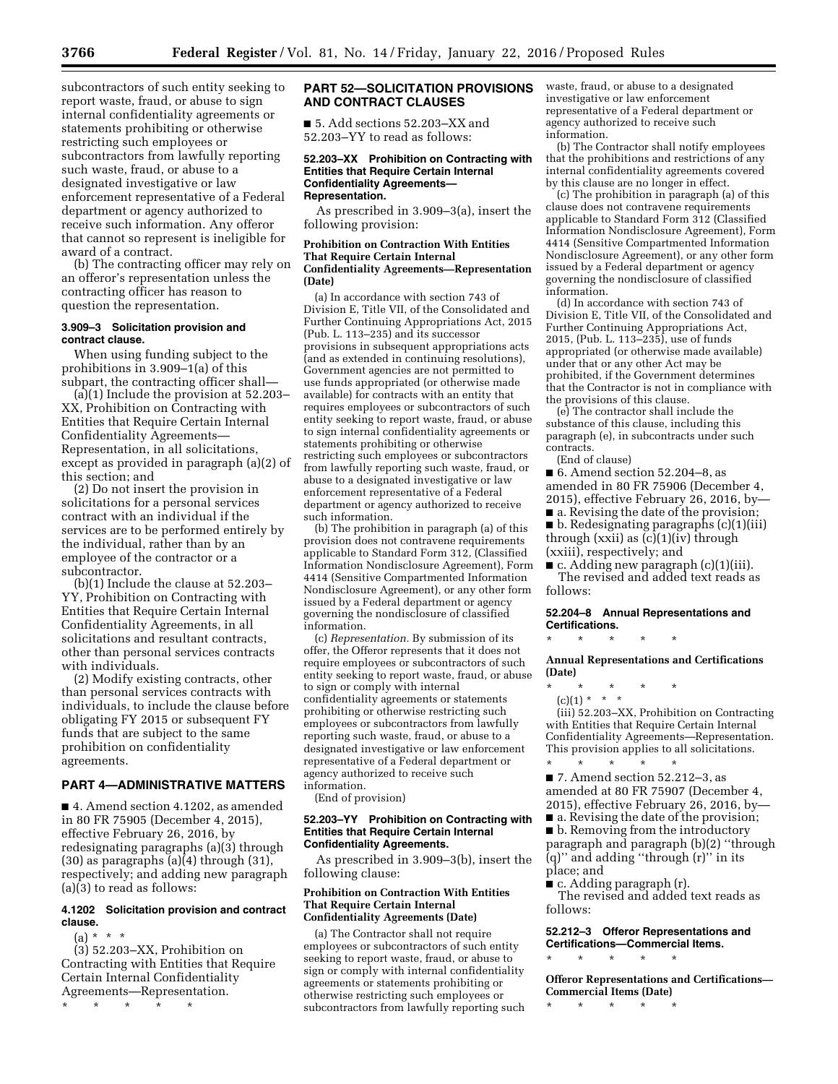subcontractors of such entity seeking to report waste, fraud, or abuse to sign internal confidentiality agreements or statements prohibiting or otherwise restricting such employees or subcontractors from lawfully reporting such waste, fraud, or abuse to a designated investigative or law enforcement representative of a Federal department or agency authorized to receive such information. Any offeror that cannot so represent is ineligible for award of a contract.

(b) The contracting officer may rely on an offeror's representation unless the contracting officer has reason to question the representation.

### **3.909–3 Solicitation provision and contract clause.**

When using funding subject to the prohibitions in 3.909–1(a) of this subpart, the contracting officer shall—

(a)(1) Include the provision at 52.203– XX, Prohibition on Contracting with Entities that Require Certain Internal Confidentiality Agreements— Representation, in all solicitations, except as provided in paragraph (a)(2) of this section; and

(2) Do not insert the provision in solicitations for a personal services contract with an individual if the services are to be performed entirely by the individual, rather than by an employee of the contractor or a subcontractor.

(b)(1) Include the clause at 52.203– YY, Prohibition on Contracting with Entities that Require Certain Internal Confidentiality Agreements, in all solicitations and resultant contracts, other than personal services contracts with individuals.

(2) Modify existing contracts, other than personal services contracts with individuals, to include the clause before obligating FY 2015 or subsequent FY funds that are subject to the same prohibition on confidentiality agreements.

### **PART 4—ADMINISTRATIVE MATTERS**

■ 4. Amend section 4.1202, as amended in 80 FR 75905 (December 4, 2015), effective February 26, 2016, by redesignating paragraphs (a)(3) through (30) as paragraphs (a)(4) through (31), respectively; and adding new paragraph (a)(3) to read as follows:

### **4.1202 Solicitation provision and contract clause.**

 $(a) * * * *$ 

(3) 52.203–XX, Prohibition on Contracting with Entities that Require Certain Internal Confidentiality Agreements—Representation.

\* \* \* \* \*

### **PART 52—SOLICITATION PROVISIONS AND CONTRACT CLAUSES**

■ 5. Add sections 52.203–XX and 52.203–YY to read as follows:

#### **52.203–XX Prohibition on Contracting with Entities that Require Certain Internal Confidentiality Agreements— Representation.**

As prescribed in 3.909–3(a), insert the following provision:

#### **Prohibition on Contraction With Entities That Require Certain Internal Confidentiality Agreements—Representation (Date)**

(a) In accordance with section 743 of Division E, Title VII, of the Consolidated and Further Continuing Appropriations Act, 2015 (Pub. L. 113–235) and its successor provisions in subsequent appropriations acts (and as extended in continuing resolutions), Government agencies are not permitted to use funds appropriated (or otherwise made available) for contracts with an entity that requires employees or subcontractors of such entity seeking to report waste, fraud, or abuse to sign internal confidentiality agreements or statements prohibiting or otherwise restricting such employees or subcontractors from lawfully reporting such waste, fraud, or abuse to a designated investigative or law enforcement representative of a Federal department or agency authorized to receive such information.

(b) The prohibition in paragraph (a) of this provision does not contravene requirements applicable to Standard Form 312, (Classified Information Nondisclosure Agreement), Form 4414 (Sensitive Compartmented Information Nondisclosure Agreement), or any other form issued by a Federal department or agency governing the nondisclosure of classified information.

(c) *Representation.* By submission of its offer, the Offeror represents that it does not require employees or subcontractors of such entity seeking to report waste, fraud, or abuse to sign or comply with internal confidentiality agreements or statements prohibiting or otherwise restricting such employees or subcontractors from lawfully reporting such waste, fraud, or abuse to a designated investigative or law enforcement representative of a Federal department or agency authorized to receive such information.

(End of provision)

#### **52.203–YY Prohibition on Contracting with Entities that Require Certain Internal Confidentiality Agreements.**

As prescribed in 3.909–3(b), insert the following clause:

### **Prohibition on Contraction With Entities That Require Certain Internal Confidentiality Agreements (Date)**

(a) The Contractor shall not require employees or subcontractors of such entity seeking to report waste, fraud, or abuse to sign or comply with internal confidentiality agreements or statements prohibiting or otherwise restricting such employees or subcontractors from lawfully reporting such waste, fraud, or abuse to a designated investigative or law enforcement representative of a Federal department or agency authorized to receive such information.

(b) The Contractor shall notify employees that the prohibitions and restrictions of any internal confidentiality agreements covered by this clause are no longer in effect.

(c) The prohibition in paragraph (a) of this clause does not contravene requirements applicable to Standard Form 312 (Classified Information Nondisclosure Agreement), Form 4414 (Sensitive Compartmented Information Nondisclosure Agreement), or any other form issued by a Federal department or agency governing the nondisclosure of classified information.

(d) In accordance with section 743 of Division E, Title VII, of the Consolidated and Further Continuing Appropriations Act, 2015, (Pub. L. 113–235), use of funds appropriated (or otherwise made available) under that or any other Act may be prohibited, if the Government determines that the Contractor is not in compliance with the provisions of this clause.

(e) The contractor shall include the substance of this clause, including this paragraph (e), in subcontracts under such contracts.

(End of clause)

■ 6. Amend section 52.204–8, as amended in 80 FR 75906 (December 4, 2015), effective February 26, 2016, by— ■ a. Revising the date of the provision;

■ b. Redesignating paragraphs (c)(1)(iii) through  $(xxii)$  as  $(c)(1)(iv)$  through (xxiii), respectively; and

■ c. Adding new paragraph (c)(1)(iii). The revised and added text reads as follows:

### **52.204–8 Annual Representations and Certifications.**

\* \* \* \* \*

### **Annual Representations and Certifications (Date)**

\* \* \* \* \*

 $(c)(1) * * * *$ (iii) 52.203–XX, Prohibition on Contracting with Entities that Require Certain Internal Confidentiality Agreements—Representation. This provision applies to all solicitations.

\* \* \* \* \* ■ 7. Amend section 52.212–3, as amended at 80 FR 75907 (December 4, 2015), effective February 26, 2016, by—

■ a. Revising the date of the provision;

■ b. Removing from the introductory paragraph and paragraph (b)(2) ''through (q)'' and adding ''through (r)'' in its place; and

■ c. Adding paragraph (r). The revised and added text reads as

follows:

# **52.212–3 Offeror Representations and Certifications—Commercial Items.**

**Offeror Representations and Certifications— Commercial Items (Date)** 

\* \* \* \* \*

\* \* \* \* \*